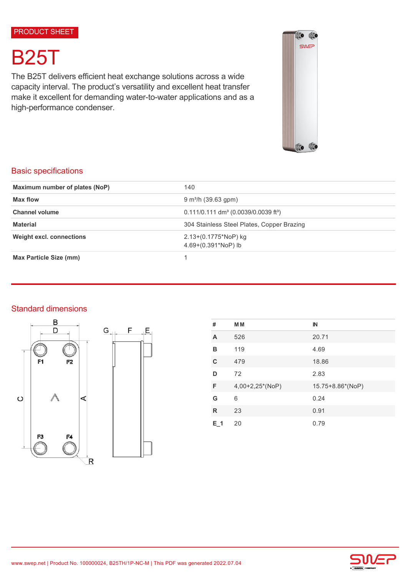# B25T

The B25T delivers efficient heat exchange solutions across a wide capacity interval. The product's versatility and excellent heat transfer make it excellent for demanding water-to-water applications and as a high-performance condenser.



# Basic specifications

| Maximum number of plates (NoP)  | 140                                                            |  |
|---------------------------------|----------------------------------------------------------------|--|
| Max flow                        | $9 \text{ m}^3$ /h (39.63 gpm)                                 |  |
| <b>Channel volume</b>           | $0.111/0.111$ dm <sup>3</sup> (0.0039/0.0039 ft <sup>3</sup> ) |  |
| <b>Material</b>                 | 304 Stainless Steel Plates, Copper Brazing                     |  |
| <b>Weight excl. connections</b> | $2.13+(0.1775*NOP)$ kg<br>4.69+(0.391*NoP) lb                  |  |
| Max Particle Size (mm)          |                                                                |  |

# Standard dimensions





| #   | <b>MM</b>       | IN               |
|-----|-----------------|------------------|
| A   | 526             | 20.71            |
| в   | 119             | 4.69             |
| C   | 479             | 18.86            |
| D   | 72              | 2.83             |
| F   | 4,00+2,25*(NoP) | 15.75+8.86*(NoP) |
| G   | 6               | 0.24             |
| R   | 23              | 0.91             |
| E 1 | 20              | 0.79             |